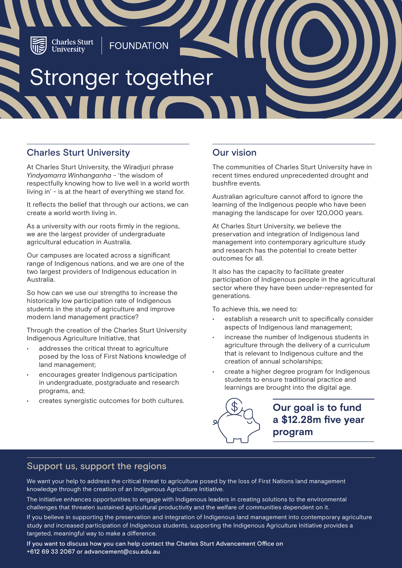

## Charles Sturt University

At Charles Sturt University, the Wiradjuri phrase *Yindyamarra Winhanganha* - 'the wisdom of respectfully knowing how to live well in a world worth living in' - is at the heart of everything we stand for.

It reflects the belief that through our actions, we can create a world worth living in.

As a university with our roots firmly in the regions, we are the largest provider of undergraduate agricultural education in Australia.

Our campuses are located across a significant range of Indigenous nations, and we are one of the two largest providers of Indigenous education in Australia.

So how can we use our strengths to increase the historically low participation rate of Indigenous students in the study of agriculture and improve modern land management practice?

Through the creation of the Charles Sturt University Indigenous Agriculture Initiative, that

- addresses the critical threat to agriculture posed by the loss of First Nations knowledge of land management;
- encourages greater Indigenous participation in undergraduate, postgraduate and research programs, and;
- creates synergistic outcomes for both cultures.

# Our vision

The communities of Charles Sturt University have in recent times endured unprecedented drought and bushfire events.

Australian agriculture cannot afford to ignore the learning of the Indigenous people who have been managing the landscape for over 120,000 years.

At Charles Sturt University, we believe the preservation and integration of Indigenous land management into contemporary agriculture study and research has the potential to create better outcomes for all.

It also has the capacity to facilitate greater participation of Indigenous people in the agricultural sector where they have been under-represented for generations.

To achieve this, we need to:

- establish a research unit to specifically consider aspects of Indigenous land management;
- increase the number of Indigenous students in agriculture through the delivery of a curriculum that is relevant to Indigenous culture and the creation of annual scholarships;
- create a higher degree program for Indigenous students to ensure traditional practice and learnings are brought into the digital age.



**Our goal is to fund a \$12.28m five year program**

## Support us, support the regions

We want your help to address the critical threat to agriculture posed by the loss of First Nations land management knowledge through the creation of an Indigenous Agriculture Initiative.

The initiative enhances opportunities to engage with Indigenous leaders in creating solutions to the environmental challenges that threaten sustained agricultural productivity and the welfare of communities dependent on it.

If you believe in supporting the preservation and integration of Indigenous land management into contemporary agriculture study and increased participation of Indigenous students, supporting the Indigenous Agriculture Initiative provides a targeted, meaningful way to make a difference.

If you want to discuss how you can help contact the Charles Sturt Advancement Office on +612 69 33 2067 or advancement@csu.edu.au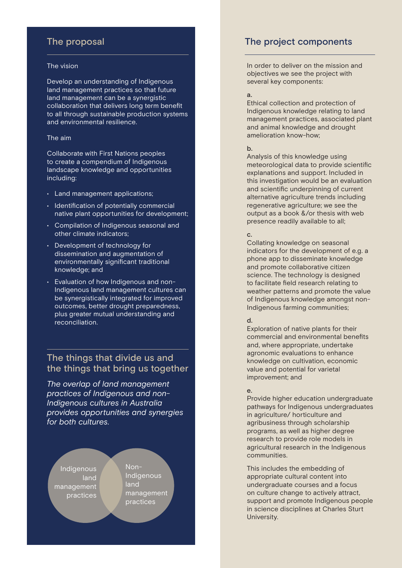# The proposal

#### The vision

Develop an understanding of Indigenous land management practices so that future land management can be a synergistic collaboration that delivers long term benefit to all through sustainable production systems and environmental resilience.

#### The aim

Collaborate with First Nations peoples to create a compendium of Indigenous landscape knowledge and opportunities including:

- Land management applications;
- Identification of potentially commercial native plant opportunities for development;
- Compilation of Indigenous seasonal and other climate indicators;
- Development of technology for dissemination and augmentation of environmentally significant traditional knowledge; and
- Evaluation of how Indigenous and non-Indigenous land management cultures can be synergistically integrated for improved outcomes, better drought preparedness, plus greater mutual understanding and reconciliation.

## The things that divide us and the things that bring us together

*The overlap of land management practices of Indigenous and non-Indigenous cultures in Australia provides opportunities and synergies for both cultures.*

**Indigenous** land management practices

Non-Indigenous land management practices

## The project components

In order to deliver on the mission and objectives we see the project with several key components:

### a.

Ethical collection and protection of Indigenous knowledge relating to land management practices, associated plant and animal knowledge and drought amelioration know-how;

## b.

Analysis of this knowledge using meteorological data to provide scientific explanations and support. Included in this investigation would be an evaluation and scientific underpinning of current alternative agriculture trends including regenerative agriculture; we see the output as a book &/or thesis with web presence readily available to all;

### c.

Collating knowledge on seasonal indicators for the development of e.g. a phone app to disseminate knowledge and promote collaborative citizen science. The technology is designed to facilitate field research relating to weather patterns and promote the value of Indigenous knowledge amongst non-Indigenous farming communities;

## d.

Exploration of native plants for their commercial and environmental benefits and, where appropriate, undertake agronomic evaluations to enhance knowledge on cultivation, economic value and potential for varietal improvement; and

### e.

Provide higher education undergraduate pathways for Indigenous undergraduates in agriculture/ horticulture and agribusiness through scholarship programs, as well as higher degree research to provide role models in agricultural research in the Indigenous communities.

This includes the embedding of appropriate cultural content into undergraduate courses and a focus on culture change to actively attract, support and promote Indigenous people in science disciplines at Charles Sturt University.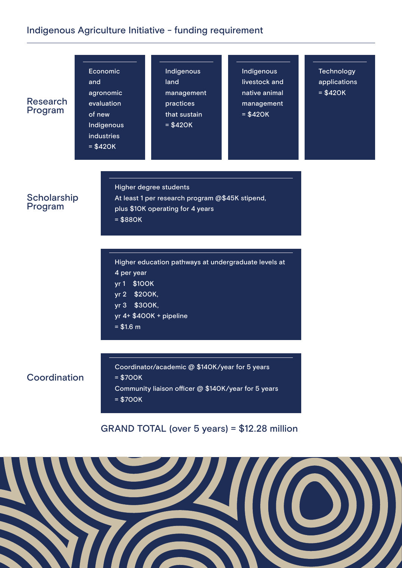# Indigenous Agriculture Initiative - funding requirement